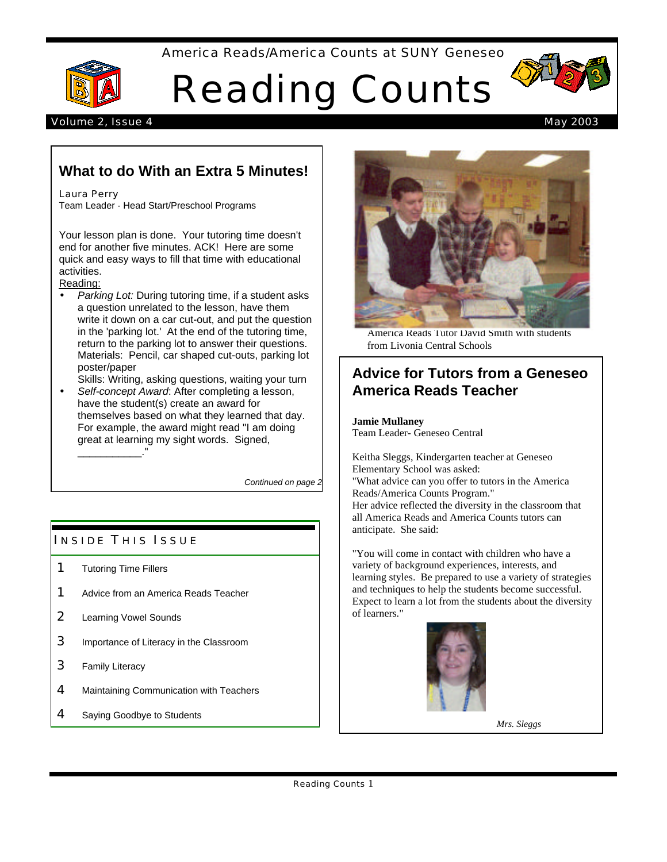#### America Reads/America Counts at SUNY Geneseo



# Reading Counts



#### Volume 2, Issue 4 May 2003

# **What to do With an Extra 5 Minutes!**

#### Laura Perry

Team Leader - Head Start/Preschool Programs

Your lesson plan is done. Your tutoring time doesn't end for another five minutes. ACK! Here are some quick and easy ways to fill that time with educational activities.

#### Reading:

• *Parking Lot:* During tutoring time, if a student asks a question unrelated to the lesson, have them write it down on a car cut-out, and put the question in the 'parking lot.' At the end of the tutoring time, return to the parking lot to answer their questions. Materials: Pencil, car shaped cut-outs, parking lot poster/paper

Skills: Writing, asking questions, waiting your turn • *Self-concept Award*: After completing a lesson,

have the student(s) create an award for themselves based on what they learned that day. For example, the award might read "I am doing great at learning my sight words. Signed, \_\_\_\_\_\_\_\_\_\_\_."

*Continued on page 2*

## **INSIDE THIS ISSUE**

- 1 Tutoring Time Fillers
- **1** Advice from an America Reads Teacher
- 2 Learning Vowel Sounds
- **3** Importance of Literacy in the Classroom
- 3 Family Literacy
- 4 Maintaining Communication with Teachers
- 4 Saying Goodbye to Students



America Reads Tutor David Smith with students from Livonia Central Schools

## **Advice for Tutors from a Geneseo America Reads Teacher**

**Jamie Mullaney** Team Leader- Geneseo Central

Keitha Sleggs, Kindergarten teacher at Geneseo Elementary School was asked: "What advice can you offer to tutors in the America Reads/America Counts Program." Her advice reflected the diversity in the classroom that all America Reads and America Counts tutors can anticipate. She said:

"You will come in contact with children who have a variety of background experiences, interests, and learning styles. Be prepared to use a variety of strategies and techniques to help the students become successful. Expect to learn a lot from the students about the diversity of learners."



 *Mrs. Sleggs*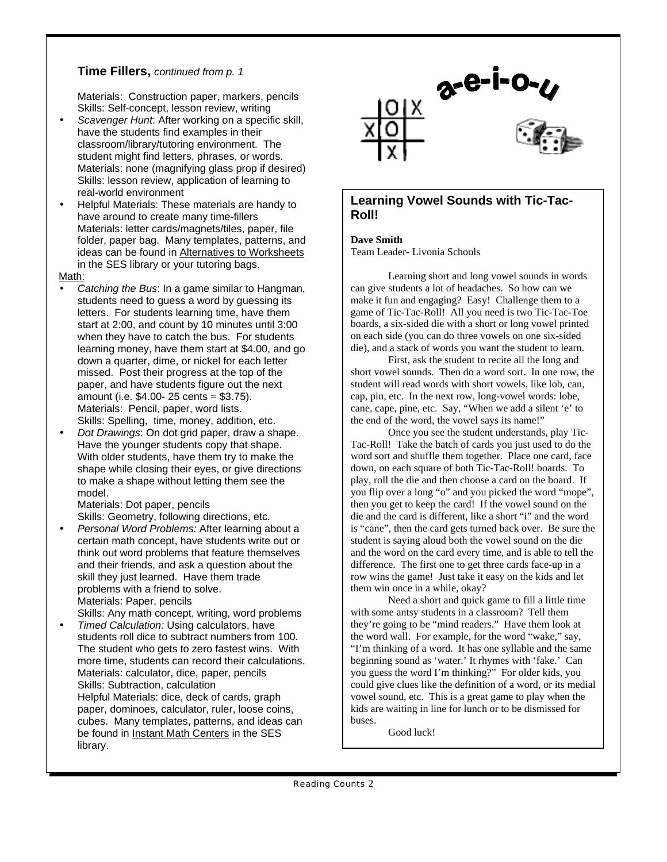## **Time Fillers,** *continued from p. 1*

Materials: Construction paper, markers, pencils Skills: Self-concept, lesson review, writing

- *Scavenger Hunt*: After working on a specific skill, have the students find examples in their classroom/library/tutoring environment. The student might find letters, phrases, or words. Materials: none (magnifying glass prop if desired) Skills: lesson review, application of learning to real-world environment
- Helpful Materials: These materials are handy to have around to create many time-fillers Materials: letter cards/magnets/tiles, paper, file folder, paper bag. Many templates, patterns, and ideas can be found in Alternatives to Worksheets in the SES library or your tutoring bags.

Math:

- *Catching the Bus*: In a game similar to Hangman, students need to guess a word by guessing its letters. For students learning time, have them start at 2:00, and count by 10 minutes until 3:00 when they have to catch the bus. For students learning money, have them start at \$4.00, and go down a quarter, dime, or nickel for each letter missed. Post their progress at the top of the paper, and have students figure out the next amount (i.e. \$4.00- 25 cents = \$3.75). Materials: Pencil, paper, word lists. Skills: Spelling, time, money, addition, etc.
- *Dot Drawings*: On dot grid paper, draw a shape. Have the younger students copy that shape. With older students, have them try to make the shape while closing their eyes, or give directions to make a shape without letting them see the model.

Materials: Dot paper, pencils Skills: Geometry, following directions, etc.

- *Personal Word Problems:* After learning about a certain math concept, have students write out or think out word problems that feature themselves and their friends, and ask a question about the skill they just learned. Have them trade problems with a friend to solve. Materials: Paper, pencils
- Skills: Any math concept, writing, word problems • *Timed Calculation:* Using calculators, have students roll dice to subtract numbers from 100. The student who gets to zero fastest wins. With more time, students can record their calculations. Materials: calculator, dice, paper, pencils Skills: Subtraction, calculation Helpful Materials: dice, deck of cards, graph paper, dominoes, calculator, ruler, loose coins, cubes. Many templates, patterns, and ideas can be found in Instant Math Centers in the SES library.



### **Learning Vowel Sounds with Tic-Tac-Roll!**

**Dave Smith** Team Leader- Livonia Schools

Learning short and long vowel sounds in words can give students a lot of headaches. So how can we make it fun and engaging? Easy! Challenge them to a game of Tic-Tac-Roll! All you need is two Tic-Tac-Toe boards, a six-sided die with a short or long vowel printed on each side (you can do three vowels on one six-sided die), and a stack of words you want the student to learn.

First, ask the student to recite all the long and short vowel sounds. Then do a word sort. In one row, the student will read words with short vowels, like lob, can, cap, pin, etc. In the next row, long-vowel words: lobe, cane, cape, pine, etc. Say, "When we add a silent 'e' to the end of the word, the vowel says its name!"

Once you see the student understands, play Tic-Tac-Roll! Take the batch of cards you just used to do the word sort and shuffle them together. Place one card, face down, on each square of both Tic-Tac-Roll! boards. To play, roll the die and then choose a card on the board. If you flip over a long "o" and you picked the word "mope", then you get to keep the card! If the vowel sound on the die and the card is different, like a short "i" and the word is "cane", then the card gets turned back over. Be sure the student is saying aloud both the vowel sound on the die and the word on the card every time, and is able to tell the difference. The first one to get three cards face-up in a row wins the game! Just take it easy on the kids and let them win once in a while, okay?

Need a short and quick game to fill a little time with some antsy students in a classroom? Tell them they're going to be "mind readers." Have them look at the word wall. For example, for the word "wake," say, "I'm thinking of a word. It has one syllable and the same beginning sound as 'water.' It rhymes with 'fake.' Can you guess the word I'm thinking?" For older kids, you could give clues like the definition of a word, or its medial vowel sound, etc. This is a great game to play when the kids are waiting in line for lunch or to be dismissed for buses.

Good luck!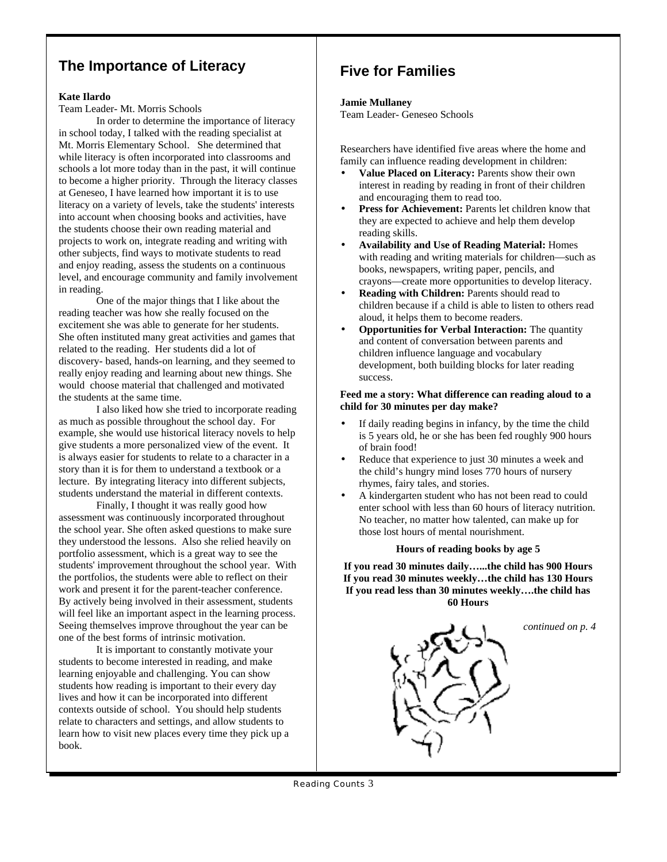## **The Importance of Literacy**

#### **Kate Ilardo**

Team Leader- Mt. Morris Schools

In order to determine the importance of literacy in school today, I talked with the reading specialist at Mt. Morris Elementary School. She determined that while literacy is often incorporated into classrooms and schools a lot more today than in the past, it will continue to become a higher priority. Through the literacy classes at Geneseo, I have learned how important it is to use literacy on a variety of levels, take the students' interests into account when choosing books and activities, have the students choose their own reading material and projects to work on, integrate reading and writing with other subjects, find ways to motivate students to read and enjoy reading, assess the students on a continuous level, and encourage community and family involvement in reading.

One of the major things that I like about the reading teacher was how she really focused on the excitement she was able to generate for her students. She often instituted many great activities and games that related to the reading. Her students did a lot of discovery- based, hands-on learning, and they seemed to really enjoy reading and learning about new things. She would choose material that challenged and motivated the students at the same time.

I also liked how she tried to incorporate reading as much as possible throughout the school day. For example, she would use historical literacy novels to help give students a more personalized view of the event. It is always easier for students to relate to a character in a story than it is for them to understand a textbook or a lecture. By integrating literacy into different subjects, students understand the material in different contexts.

Finally, I thought it was really good how assessment was continuously incorporated throughout the school year. She often asked questions to make sure they understood the lessons. Also she relied heavily on portfolio assessment, which is a great way to see the students' improvement throughout the school year. With the portfolios, the students were able to reflect on their work and present it for the parent-teacher conference. By actively being involved in their assessment, students will feel like an important aspect in the learning process. Seeing themselves improve throughout the year can be one of the best forms of intrinsic motivation.

It is important to constantly motivate your students to become interested in reading, and make learning enjoyable and challenging. You can show students how reading is important to their every day lives and how it can be incorporated into different contexts outside of school. You should help students relate to characters and settings, and allow students to learn how to visit new places every time they pick up a book.

# **Five for Families**

#### **Jamie Mullaney**

Team Leader- Geneseo Schools

Researchers have identified five areas where the home and family can influence reading development in children:

- **Value Placed on Literacy:** Parents show their own interest in reading by reading in front of their children and encouraging them to read too.
- **Press for Achievement:** Parents let children know that they are expected to achieve and help them develop reading skills.
- **Availability and Use of Reading Material:** Homes with reading and writing materials for children—such as books, newspapers, writing paper, pencils, and crayons—create more opportunities to develop literacy.
- **Reading with Children:** Parents should read to children because if a child is able to listen to others read aloud, it helps them to become readers.
- **Opportunities for Verbal Interaction:** The quantity and content of conversation between parents and children influence language and vocabulary development, both building blocks for later reading success.

#### **Feed me a story: What difference can reading aloud to a child for 30 minutes per day make?**

- If daily reading begins in infancy, by the time the child is 5 years old, he or she has been fed roughly 900 hours of brain food!
- Reduce that experience to just 30 minutes a week and the child's hungry mind loses 770 hours of nursery rhymes, fairy tales, and stories.
- A kindergarten student who has not been read to could enter school with less than 60 hours of literacy nutrition. No teacher, no matter how talented, can make up for those lost hours of mental nourishment.

#### **Hours of reading books by age 5**

**If you read 30 minutes daily…...the child has 900 Hours If you read 30 minutes weekly…the child has 130 Hours If you read less than 30 minutes weekly….the child has 60 Hours**



*continued on p. 4*